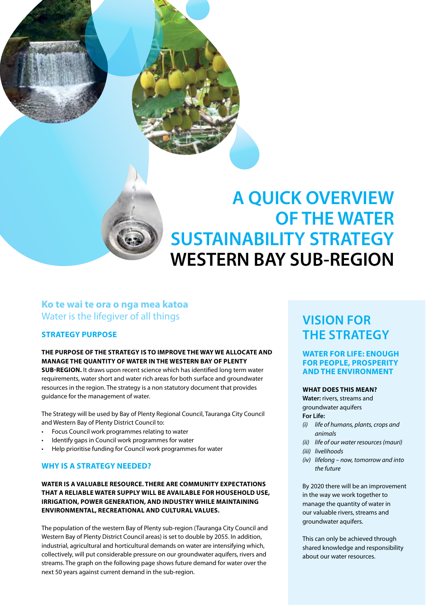

# **A QUICK OVERVIEW OF THE WATER SUSTAINABILITY STRATEGY WESTERN BAY SUB-REGION**

### **Ko te wai te ora o nga mea katoa**  Water is the lifegiver of all things

#### **Strategy Purpose**

#### **The purpose of the Strategy is to improve the way we allocate and manage the quantity of water in the western Bay of Plenty**

**SUB-REGION.** It draws upon recent science which has identified long term water requirements, water short and water rich areas for both surface and groundwater resources in the region. The strategy is a non statutory document that provides guidance for the management of water.

The Strategy will be used by Bay of Plenty Regional Council, Tauranga City Council and Western Bay of Plenty District Council to:

- Focus Council work programmes relating to water
- Identify gaps in Council work programmes for water
- Help prioritise funding for Council work programmes for water

#### **Why is a Strategy needed?**

#### **Water is a valuable resource. There are community expectations THAT A RELIABLE WATER SUPPLY WILL BE AVAILABLE FOR HOUSEHOLD USE, irrigation, power generation, and industry while maintaining environmental, recreational and cultural values.**

The population of the western Bay of Plenty sub-region (Tauranga City Council and Western Bay of Plenty District Council areas) is set to double by 2055. In addition, industrial, agricultural and horticultural demands on water are intensifying which, collectively, will put considerable pressure on our groundwater aquifers, rivers and streams. The graph on the following page shows future demand for water over the next 50 years against current demand in the sub-region.

# **Vision for the Strategy**

#### **Water for Life: Enough FOR PEOPLE, PROSPERITY and the environment**

#### **What does this mean?**

**Water:** rivers, streams and groundwater aquifers **For Life:** 

- *(i) life of humans, plants, crops and animals*
- *(ii) life of our water resources (mauri)*
- *(iii) livelihoods*
- *(iv) lifelong now, tomorrow and into the future*

By 2020 there will be an improvement in the way we work together to manage the quantity of water in our valuable rivers, streams and groundwater aquifers.

This can only be achieved through shared knowledge and responsibility about our water resources.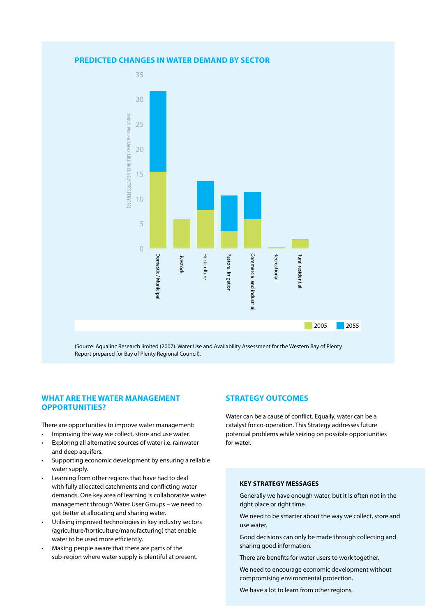



(Source: Aqualinc Research limited (2007). Water Use and Availability Assessment for the Western Bay of Plenty. Report prepared for Bay of Plenty Regional Council).

#### **What are the Water Management Opp ortunities?**

There are opportunities to improve water management:

- Improving the way we collect, store and use water.
- Exploring all alternative sources of water i.e. rainwater and deep aquifers.
- Supporting economic development by ensuring a reliable water supply.
- Learning from other regions that have had to deal with fully allocated catchments and conflicting water demands. One key area of learning is collaborative water management through Water User Groups – we need to get better at allocating and sharing water.
- Utilising improved technologies in key industry sectors (agriculture/horticulture/manufacturing) that enable water to be used more efficiently.
- Making people aware that there are parts of the sub-region where water supply is plentiful at present.

#### **Strategy Outcomes**

Water can be a cause of conflict. Equally, water can be a catalyst for co-operation. This Strategy addresses future potential problems while seizing on possible opportunities for water.

#### **key strategy mess ages**

Generally we have enough water, but it is often not in the right place or right time.

We need to be smarter about the way we collect, store and use water.

Good decisions can only be made through collecting and sharing good information.

There are benefits for water users to work together.

We need to encourage economic development without compromising environmental protection.

We have a lot to learn from other regions.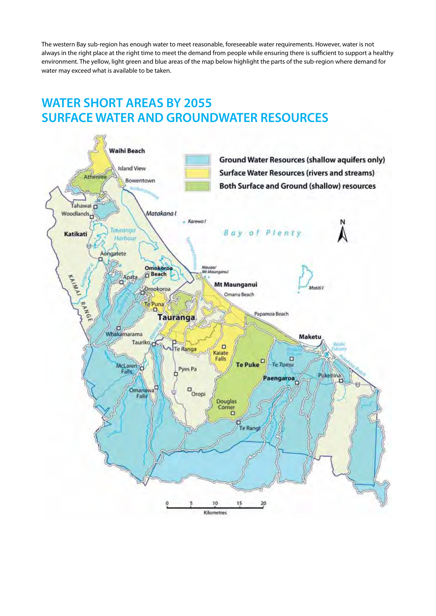The western Bay sub-region has enough water to meet reasonable, foreseeable water requirements. However, water is not always in the right place at the right time to meet the demand from people while ensuring there is sufficient to support a healthy environment. The yellow, light green and blue areas of the map below highlight the parts of the sub-region where demand for water may exceed what is available to be taken.

## **WATER SHORT AREAS BY 2055 SURFACE WATER AND GROUNDWATER RESOURCES**